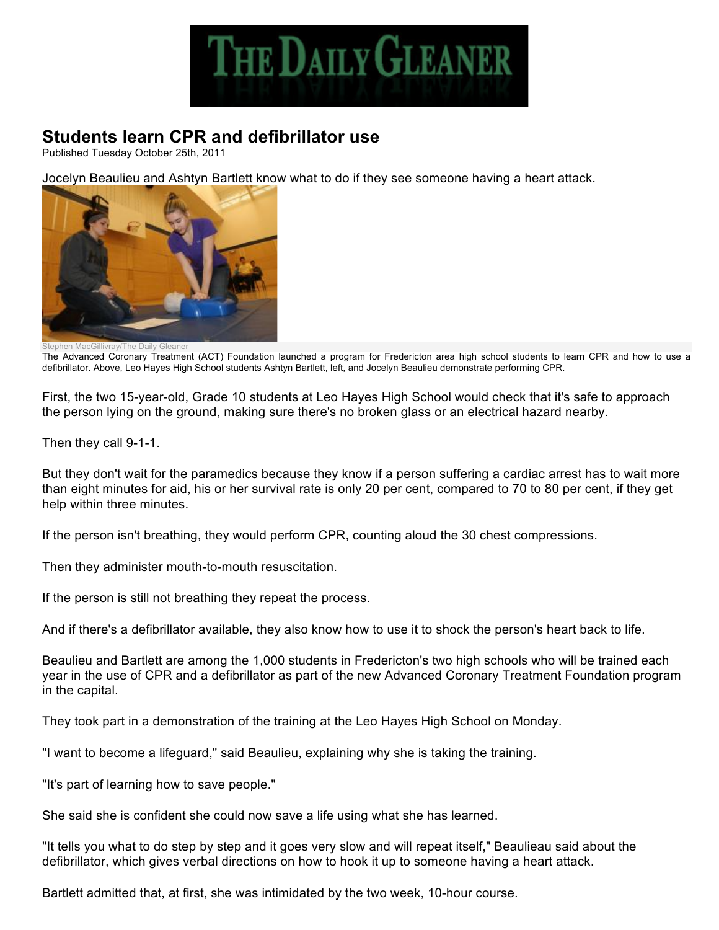

## **Students learn CPR and defibrillator use**

Published Tuesday October 25th, 2011

Jocelyn Beaulieu and Ashtyn Bartlett know what to do if they see someone having a heart attack.



The Advanced Coronary Treatment (ACT) Foundation launched a program for Fredericton area high school students to learn CPR and how to use a defibrillator. Above, Leo Hayes High School students Ashtyn Bartlett, left, and Jocelyn Beaulieu demonstrate performing CPR.

First, the two 15-year-old, Grade 10 students at Leo Hayes High School would check that it's safe to approach the person lying on the ground, making sure there's no broken glass or an electrical hazard nearby.

Then they call 9-1-1.

But they don't wait for the paramedics because they know if a person suffering a cardiac arrest has to wait more than eight minutes for aid, his or her survival rate is only 20 per cent, compared to 70 to 80 per cent, if they get help within three minutes.

If the person isn't breathing, they would perform CPR, counting aloud the 30 chest compressions.

Then they administer mouth-to-mouth resuscitation.

If the person is still not breathing they repeat the process.

And if there's a defibrillator available, they also know how to use it to shock the person's heart back to life.

Beaulieu and Bartlett are among the 1,000 students in Fredericton's two high schools who will be trained each year in the use of CPR and a defibrillator as part of the new Advanced Coronary Treatment Foundation program in the capital.

They took part in a demonstration of the training at the Leo Hayes High School on Monday.

"I want to become a lifeguard," said Beaulieu, explaining why she is taking the training.

"It's part of learning how to save people."

She said she is confident she could now save a life using what she has learned.

"It tells you what to do step by step and it goes very slow and will repeat itself," Beaulieau said about the defibrillator, which gives verbal directions on how to hook it up to someone having a heart attack.

Bartlett admitted that, at first, she was intimidated by the two week, 10-hour course.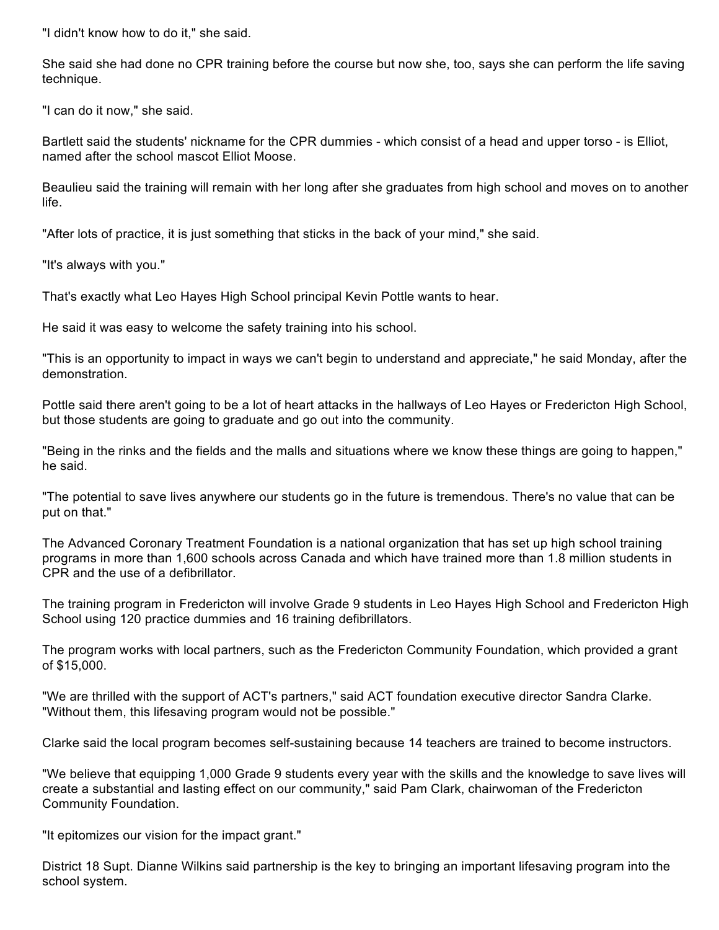"I didn't know how to do it," she said.

She said she had done no CPR training before the course but now she, too, says she can perform the life saving technique.

"I can do it now," she said.

Bartlett said the students' nickname for the CPR dummies - which consist of a head and upper torso - is Elliot, named after the school mascot Elliot Moose.

Beaulieu said the training will remain with her long after she graduates from high school and moves on to another life.

"After lots of practice, it is just something that sticks in the back of your mind," she said.

"It's always with you."

That's exactly what Leo Hayes High School principal Kevin Pottle wants to hear.

He said it was easy to welcome the safety training into his school.

"This is an opportunity to impact in ways we can't begin to understand and appreciate," he said Monday, after the demonstration.

Pottle said there aren't going to be a lot of heart attacks in the hallways of Leo Hayes or Fredericton High School, but those students are going to graduate and go out into the community.

"Being in the rinks and the fields and the malls and situations where we know these things are going to happen," he said.

"The potential to save lives anywhere our students go in the future is tremendous. There's no value that can be put on that."

The Advanced Coronary Treatment Foundation is a national organization that has set up high school training programs in more than 1,600 schools across Canada and which have trained more than 1.8 million students in CPR and the use of a defibrillator.

The training program in Fredericton will involve Grade 9 students in Leo Hayes High School and Fredericton High School using 120 practice dummies and 16 training defibrillators.

The program works with local partners, such as the Fredericton Community Foundation, which provided a grant of \$15,000.

"We are thrilled with the support of ACT's partners," said ACT foundation executive director Sandra Clarke. "Without them, this lifesaving program would not be possible."

Clarke said the local program becomes self-sustaining because 14 teachers are trained to become instructors.

"We believe that equipping 1,000 Grade 9 students every year with the skills and the knowledge to save lives will create a substantial and lasting effect on our community," said Pam Clark, chairwoman of the Fredericton Community Foundation.

"It epitomizes our vision for the impact grant."

District 18 Supt. Dianne Wilkins said partnership is the key to bringing an important lifesaving program into the school system.